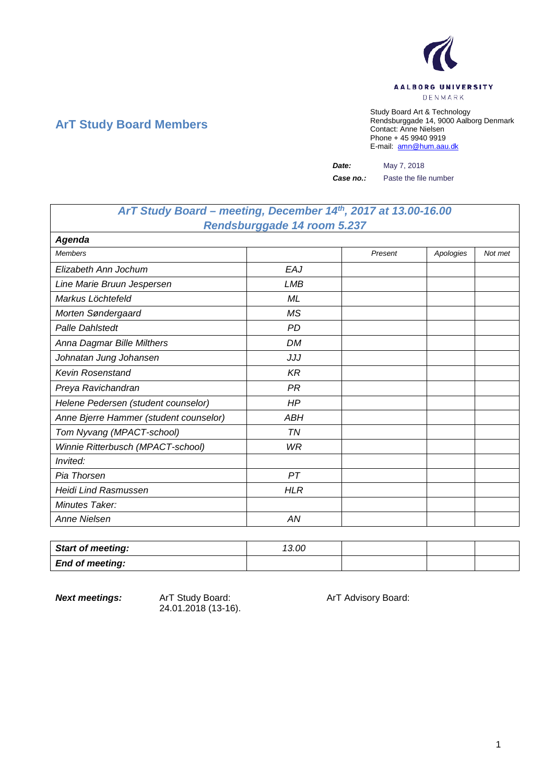

## **ArT Study Board Members**

Study Board Art & Technology Rendsburggade 14, 9000 Aalborg Denmark Contact: Anne Nielsen Phone + 45 9940 9919 E-mail: [amn@hum.aau.dk](mailto:amn@hum.aau.dk)

*Date:* May 7, 2018

*Case no.:* Paste the file number

## *ArT Study Board – meeting, December 14th, 2017 at 13.00-16.00 Rendsburggade 14 room 5.237*

| Agenda                                 |            |         |           |         |
|----------------------------------------|------------|---------|-----------|---------|
| <b>Members</b>                         |            | Present | Apologies | Not met |
| Elizabeth Ann Jochum                   | EAJ        |         |           |         |
| Line Marie Bruun Jespersen             | LMB        |         |           |         |
| Markus Löchtefeld                      | ML         |         |           |         |
| Morten Søndergaard                     | MS         |         |           |         |
| <b>Palle Dahlstedt</b>                 | <b>PD</b>  |         |           |         |
| Anna Dagmar Bille Milthers             | DM         |         |           |         |
| Johnatan Jung Johansen                 | JJJ        |         |           |         |
| Kevin Rosenstand                       | <b>KR</b>  |         |           |         |
| Preya Ravichandran                     | <b>PR</b>  |         |           |         |
| Helene Pedersen (student counselor)    | HP         |         |           |         |
| Anne Bjerre Hammer (student counselor) | <b>ABH</b> |         |           |         |
| Tom Nyvang (MPACT-school)              | <b>TN</b>  |         |           |         |
| Winnie Ritterbusch (MPACT-school)      | WR         |         |           |         |
| Invited:                               |            |         |           |         |
| Pia Thorsen                            | PT         |         |           |         |
| <b>Heidi Lind Rasmussen</b>            | <b>HLR</b> |         |           |         |
| <b>Minutes Taker:</b>                  |            |         |           |         |
| Anne Nielsen                           | ΑN         |         |           |         |

| <b>Start of meeting:</b> | 13.00 |  |  |
|--------------------------|-------|--|--|
| <b>End of meeting:</b>   |       |  |  |

24.01.2018 (13-16).

**Next meetings:** ArT Study Board: ArT Advisory Board: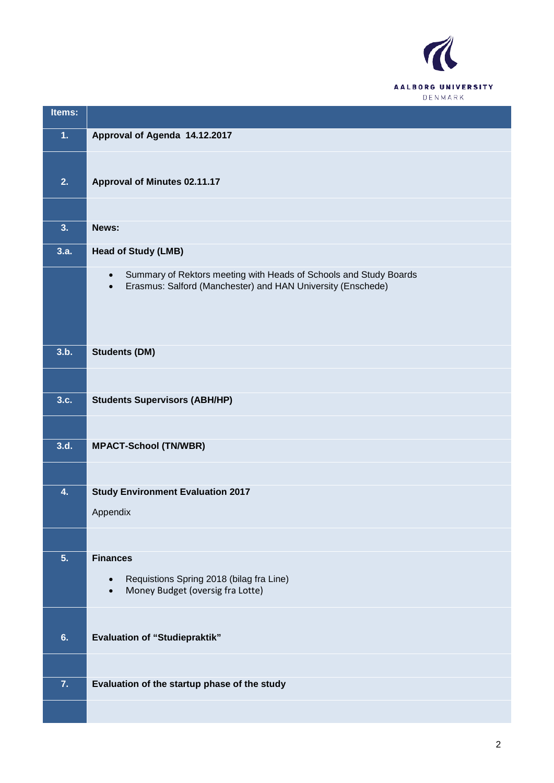

| Items:         |                                                                                                                                                            |
|----------------|------------------------------------------------------------------------------------------------------------------------------------------------------------|
| 1 <sub>1</sub> | Approval of Agenda 14.12.2017                                                                                                                              |
|                |                                                                                                                                                            |
| 2.             | <b>Approval of Minutes 02.11.17</b>                                                                                                                        |
|                |                                                                                                                                                            |
| 3.             | News:                                                                                                                                                      |
| 3.a.           | <b>Head of Study (LMB)</b>                                                                                                                                 |
|                | Summary of Rektors meeting with Heads of Schools and Study Boards<br>$\bullet$<br>Erasmus: Salford (Manchester) and HAN University (Enschede)<br>$\bullet$ |
|                |                                                                                                                                                            |
| 3.b.           | <b>Students (DM)</b>                                                                                                                                       |
|                |                                                                                                                                                            |
| 3.c.           | <b>Students Supervisors (ABH/HP)</b>                                                                                                                       |
|                |                                                                                                                                                            |
| 3.d.           | <b>MPACT-School (TN/WBR)</b>                                                                                                                               |
|                |                                                                                                                                                            |
| 4.             | <b>Study Environment Evaluation 2017</b>                                                                                                                   |
|                | Appendix                                                                                                                                                   |
|                |                                                                                                                                                            |
| 5.             | <b>Finances</b><br>Requistions Spring 2018 (bilag fra Line)<br>$\bullet$                                                                                   |
|                | Money Budget (oversig fra Lotte)                                                                                                                           |
|                |                                                                                                                                                            |
| 6.             | <b>Evaluation of "Studiepraktik"</b>                                                                                                                       |
|                |                                                                                                                                                            |
| 7.             | Evaluation of the startup phase of the study                                                                                                               |
|                |                                                                                                                                                            |